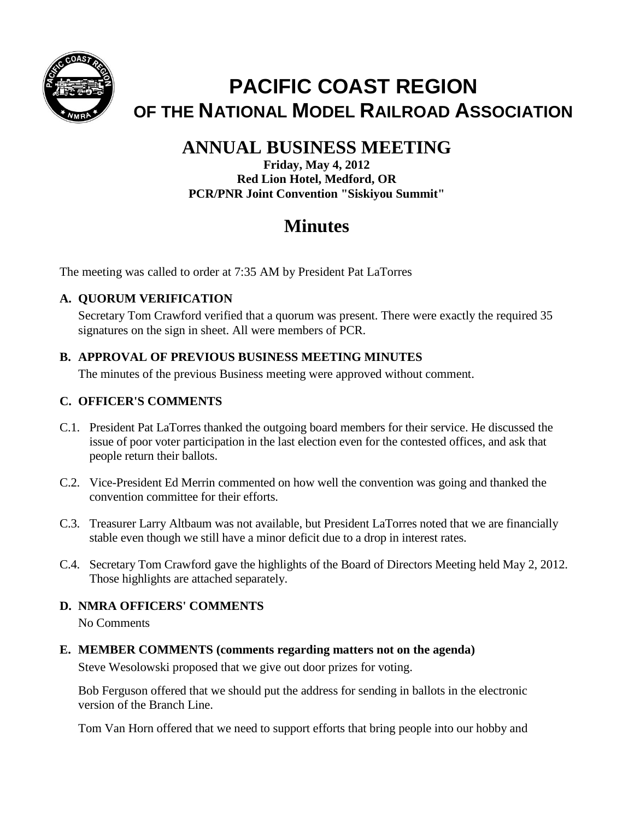

# **PACIFIC COAST REGION OF THE NATIONAL MODEL RAILROAD ASSOCIATION**

## **ANNUAL BUSINESS MEETING**

**Friday, May 4, 2012 Red Lion Hotel, Medford, OR PCR/PNR Joint Convention "Siskiyou Summit"**

## **Minutes**

The meeting was called to order at 7:35 AM by President Pat LaTorres

## **A. QUORUM VERIFICATION**

Secretary Tom Crawford verified that a quorum was present. There were exactly the required 35 signatures on the sign in sheet. All were members of PCR.

## **B. APPROVAL OF PREVIOUS BUSINESS MEETING MINUTES**

The minutes of the previous Business meeting were approved without comment.

## **C. OFFICER'S COMMENTS**

- C.1. President Pat LaTorres thanked the outgoing board members for their service. He discussed the issue of poor voter participation in the last election even for the contested offices, and ask that people return their ballots.
- C.2. Vice-President Ed Merrin commented on how well the convention was going and thanked the convention committee for their efforts.
- C.3. Treasurer Larry Altbaum was not available, but President LaTorres noted that we are financially stable even though we still have a minor deficit due to a drop in interest rates.
- C.4. Secretary Tom Crawford gave the highlights of the Board of Directors Meeting held May 2, 2012. Those highlights are attached separately.

## **D. NMRA OFFICERS' COMMENTS**

No Comments

**E. MEMBER COMMENTS (comments regarding matters not on the agenda)**

Steve Wesolowski proposed that we give out door prizes for voting.

Bob Ferguson offered that we should put the address for sending in ballots in the electronic version of the Branch Line.

Tom Van Horn offered that we need to support efforts that bring people into our hobby and